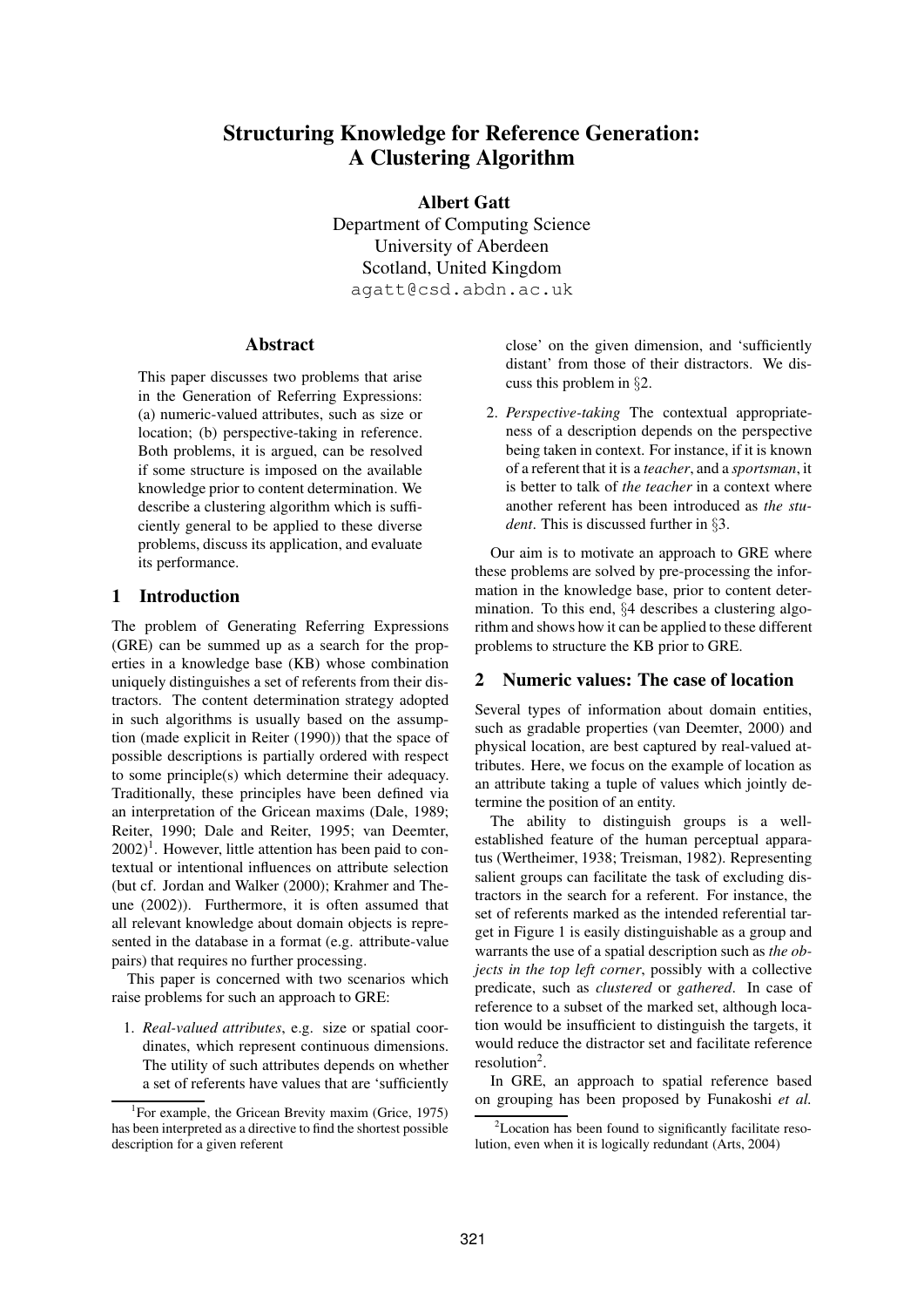# **Structuring Knowledge for Reference Generation: A Clustering Algorithm**

**Albert Gatt**

Department of Computing Science University of Aberdeen Scotland, United Kingdom agatt@csd.abdn.ac.uk

## **Abstract**

This paper discusses two problems that arise in the Generation of Referring Expressions: (a) numeric-valued attributes, such as size or location; (b) perspective-taking in reference. Both problems, it is argued, can be resolved if some structure is imposed on the available knowledge prior to content determination. We describe a clustering algorithm which is sufficiently general to be applied to these diverse problems, discuss its application, and evaluate its performance.

# **1 Introduction**

The problem of Generating Referring Expressions (GRE) can be summed up as a search for the properties in a knowledge base (KB) whose combination uniquely distinguishes a set of referents from their distractors. The content determination strategy adopted in such algorithms is usually based on the assumption (made explicit in Reiter (1990)) that the space of possible descriptions is partially ordered with respect to some principle(s) which determine their adequacy. Traditionally, these principles have been defined via an interpretation of the Gricean maxims (Dale, 1989; Reiter, 1990; Dale and Reiter, 1995; van Deemter,  $2002$ <sup>1</sup>. However, little attention has been paid to contextual or intentional influences on attribute selection (but cf. Jordan and Walker (2000); Krahmer and Theune (2002)). Furthermore, it is often assumed that all relevant knowledge about domain objects is represented in the database in a format (e.g. attribute-value pairs) that requires no further processing.

This paper is concerned with two scenarios which raise problems for such an approach to GRE:

1. *Real-valued attributes*, e.g. size or spatial coordinates, which represent continuous dimensions. The utility of such attributes depends on whether a set of referents have values that are 'sufficiently close' on the given dimension, and 'sufficiently distant' from those of their distractors. We discuss this problem in §2.

2. *Perspective-taking* The contextual appropriateness of a description depends on the perspective being taken in context. For instance, if it is known of a referent that it is a *teacher*, and a *sportsman*, it is better to talk of *the teacher* in a context where another referent has been introduced as *the student*. This is discussed further in §3.

Our aim is to motivate an approach to GRE where these problems are solved by pre-processing the information in the knowledge base, prior to content determination. To this end, §4 describes a clustering algorithm and shows how it can be applied to these different problems to structure the KB prior to GRE.

## **2 Numeric values: The case of location**

Several types of information about domain entities, such as gradable properties (van Deemter, 2000) and physical location, are best captured by real-valued attributes. Here, we focus on the example of location as an attribute taking a tuple of values which jointly determine the position of an entity.

The ability to distinguish groups is a wellestablished feature of the human perceptual apparatus (Wertheimer, 1938; Treisman, 1982). Representing salient groups can facilitate the task of excluding distractors in the search for a referent. For instance, the set of referents marked as the intended referential target in Figure 1 is easily distinguishable as a group and warrants the use of a spatial description such as *the objects in the top left corner*, possibly with a collective predicate, such as *clustered* or *gathered*. In case of reference to a subset of the marked set, although location would be insufficient to distinguish the targets, it would reduce the distractor set and facilitate reference resolution<sup>2</sup>.

In GRE, an approach to spatial reference based on grouping has been proposed by Funakoshi *et al.*

<sup>&</sup>lt;sup>1</sup>For example, the Gricean Brevity maxim (Grice, 1975) has been interpreted as a directive to find the shortest possible description for a given referent

<sup>2</sup>Location has been found to significantly facilitate resolution, even when it is logically redundant (Arts, 2004)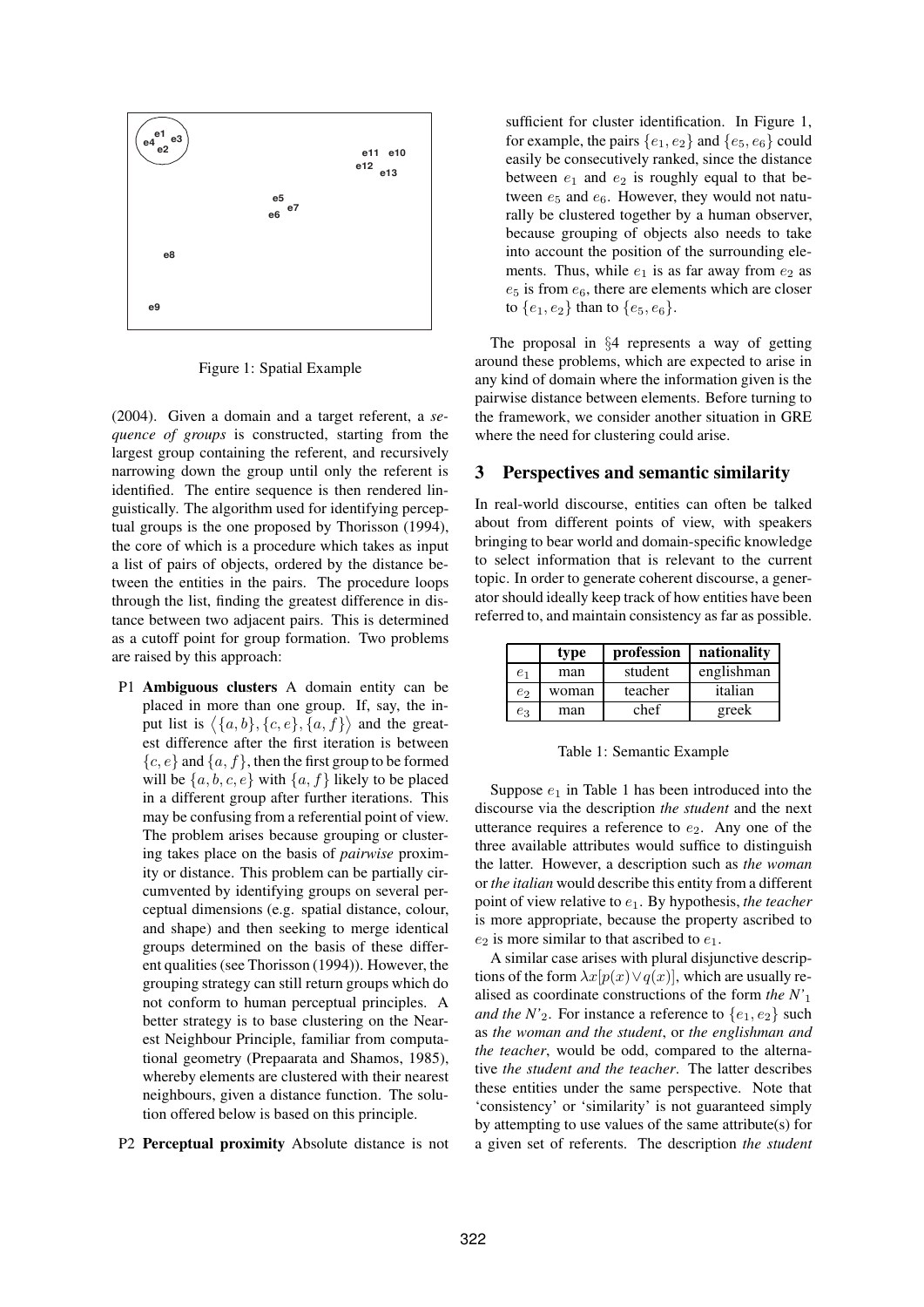

Figure 1: Spatial Example

(2004). Given a domain and a target referent, a *sequence of groups* is constructed, starting from the largest group containing the referent, and recursively narrowing down the group until only the referent is identified. The entire sequence is then rendered linguistically. The algorithm used for identifying perceptual groups is the one proposed by Thorisson (1994), the core of which is a procedure which takes as input a list of pairs of objects, ordered by the distance between the entities in the pairs. The procedure loops through the list, finding the greatest difference in distance between two adjacent pairs. This is determined as a cutoff point for group formation. Two problems are raised by this approach:

- P1 **Ambiguous clusters** A domain entity can be placed in more than one group. If, say, the input list is  $\langle \{a,b\}, \{c,e\}, \{a,f\} \rangle$  and the greatest difference after the first iteration is between  ${c, e}$  and  ${a, f}$ , then the first group to be formed will be  $\{a, b, c, e\}$  with  $\{a, f\}$  likely to be placed in a different group after further iterations. This may be confusing from a referential point of view. The problem arises because grouping or clustering takes place on the basis of *pairwise* proximity or distance. This problem can be partially circumvented by identifying groups on several perceptual dimensions (e.g. spatial distance, colour, and shape) and then seeking to merge identical groups determined on the basis of these different qualities (see Thorisson (1994)). However, the grouping strategy can still return groups which do not conform to human perceptual principles. A better strategy is to base clustering on the Nearest Neighbour Principle, familiar from computational geometry (Prepaarata and Shamos, 1985), whereby elements are clustered with their nearest neighbours, given a distance function. The solution offered below is based on this principle.
- P2 **Perceptual proximity** Absolute distance is not

sufficient for cluster identification. In Figure 1, for example, the pairs  $\{e_1, e_2\}$  and  $\{e_5, e_6\}$  could easily be consecutively ranked, since the distance between  $e_1$  and  $e_2$  is roughly equal to that between  $e_5$  and  $e_6$ . However, they would not naturally be clustered together by a human observer, because grouping of objects also needs to take into account the position of the surrounding elements. Thus, while  $e_1$  is as far away from  $e_2$  as  $e_5$  is from  $e_6$ , there are elements which are closer to  $\{e_1, e_2\}$  than to  $\{e_5, e_6\}$ .

The proposal in §4 represents a way of getting around these problems, which are expected to arise in any kind of domain where the information given is the pairwise distance between elements. Before turning to the framework, we consider another situation in GRE where the need for clustering could arise.

# **3 Perspectives and semantic similarity**

In real-world discourse, entities can often be talked about from different points of view, with speakers bringing to bear world and domain-specific knowledge to select information that is relevant to the current topic. In order to generate coherent discourse, a generator should ideally keep track of how entities have been referred to, and maintain consistency as far as possible.

|       | type  | profession | nationality |
|-------|-------|------------|-------------|
| $e_1$ | man   | student    | englishman  |
| $e_2$ | woman | teacher    | italian     |
| $e_3$ | man   | chef       | greek       |

Table 1: Semantic Example

Suppose  $e_1$  in Table 1 has been introduced into the discourse via the description *the student* and the next utterance requires a reference to  $e_2$ . Any one of the three available attributes would suffice to distinguish the latter. However, a description such as *the woman* or *the italian* would describe this entity from a different point of view relative to e1. By hypothesis, *the teacher* is more appropriate, because the property ascribed to  $e_2$  is more similar to that ascribed to  $e_1$ .

A similar case arises with plural disjunctive descriptions of the form  $\lambda x[p(x) \vee q(x)]$ , which are usually realised as coordinate constructions of the form *the N'*<sup>1</sup> *and the N'*<sub>2</sub>. For instance a reference to  $\{e_1, e_2\}$  such as *the woman and the student*, or *the englishman and the teacher*, would be odd, compared to the alternative *the student and the teacher*. The latter describes these entities under the same perspective. Note that 'consistency' or 'similarity' is not guaranteed simply by attempting to use values of the same attribute(s) for a given set of referents. The description *the student*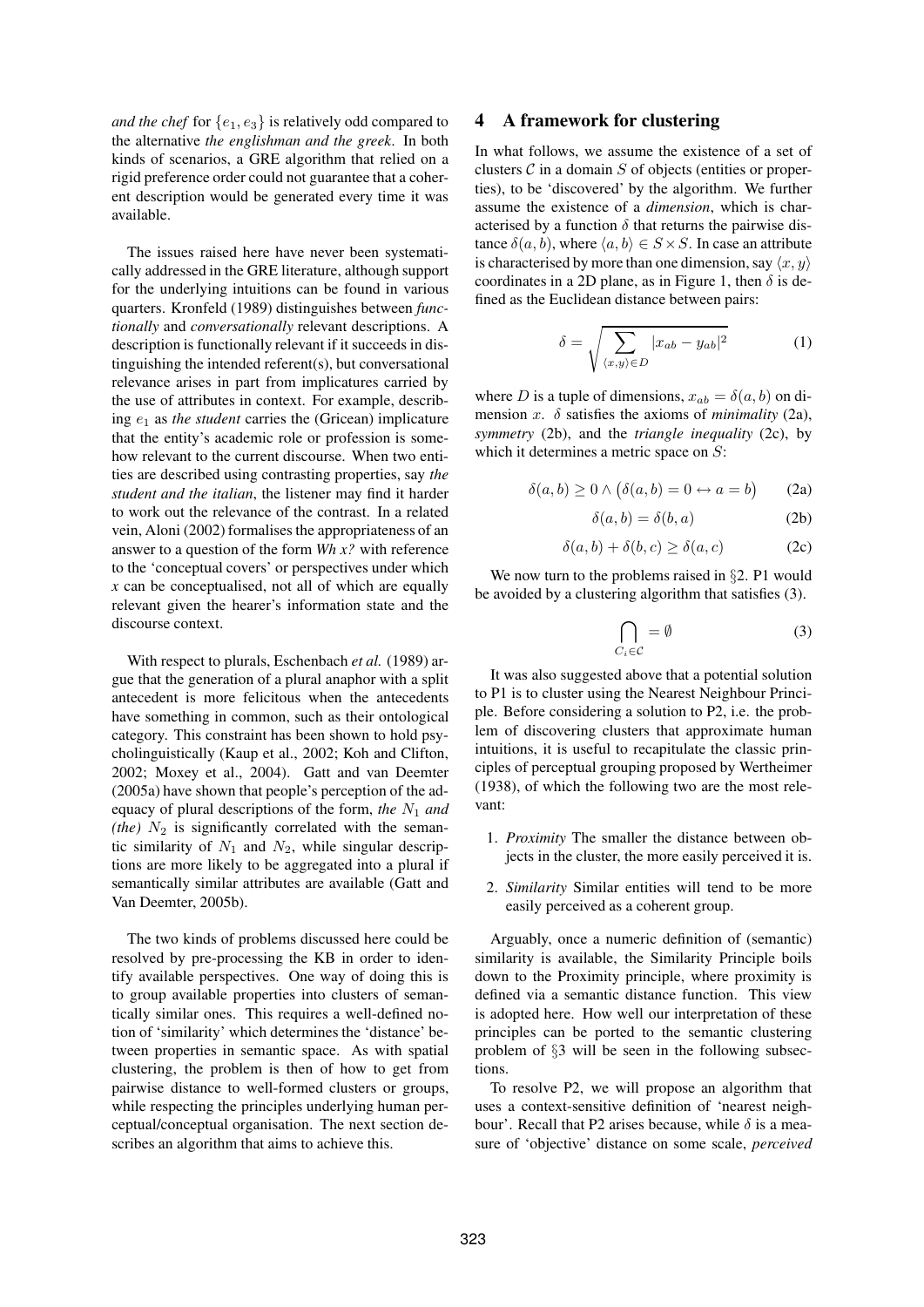*and the chef* for  $\{e_1, e_3\}$  is relatively odd compared to the alternative *the englishman and the greek*. In both kinds of scenarios, a GRE algorithm that relied on a rigid preference order could not guarantee that a coherent description would be generated every time it was available.

The issues raised here have never been systematically addressed in the GRE literature, although support for the underlying intuitions can be found in various quarters. Kronfeld (1989) distinguishes between *functionally* and *conversationally* relevant descriptions. A description is functionally relevant if it succeeds in distinguishing the intended referent(s), but conversational relevance arises in part from implicatures carried by the use of attributes in context. For example, describing e<sup>1</sup> as *the student* carries the (Gricean) implicature that the entity's academic role or profession is somehow relevant to the current discourse. When two entities are described using contrasting properties, say *the student and the italian*, the listener may find it harder to work out the relevance of the contrast. In a related vein, Aloni (2002) formalises the appropriateness of an answer to a question of the form *Wh x?* with reference to the 'conceptual covers' or perspectives under which *x* can be conceptualised, not all of which are equally relevant given the hearer's information state and the discourse context.

With respect to plurals, Eschenbach *et al.* (1989) argue that the generation of a plural anaphor with a split antecedent is more felicitous when the antecedents have something in common, such as their ontological category. This constraint has been shown to hold psycholinguistically (Kaup et al., 2002; Koh and Clifton, 2002; Moxey et al., 2004). Gatt and van Deemter (2005a) have shown that people's perception of the adequacy of plural descriptions of the form, *the*  $N_1$  *and (the)*  $N_2$  is significantly correlated with the semantic similarity of  $N_1$  and  $N_2$ , while singular descriptions are more likely to be aggregated into a plural if semantically similar attributes are available (Gatt and Van Deemter, 2005b).

The two kinds of problems discussed here could be resolved by pre-processing the KB in order to identify available perspectives. One way of doing this is to group available properties into clusters of semantically similar ones. This requires a well-defined notion of 'similarity' which determines the 'distance' between properties in semantic space. As with spatial clustering, the problem is then of how to get from pairwise distance to well-formed clusters or groups, while respecting the principles underlying human perceptual/conceptual organisation. The next section describes an algorithm that aims to achieve this.

# **4 A framework for clustering**

In what follows, we assume the existence of a set of clusters  $\mathcal C$  in a domain  $S$  of objects (entities or properties), to be 'discovered' by the algorithm. We further assume the existence of a *dimension*, which is characterised by a function  $\delta$  that returns the pairwise distance  $\delta(a, b)$ , where  $\langle a, b \rangle \in S \times S$ . In case an attribute is characterised by more than one dimension, say  $\langle x, y \rangle$ coordinates in a 2D plane, as in Figure 1, then  $\delta$  is defined as the Euclidean distance between pairs:

$$
\delta = \sqrt{\sum_{\langle x,y\rangle \in D} |x_{ab} - y_{ab}|^2}
$$
 (1)

where D is a tuple of dimensions,  $x_{ab} = \delta(a, b)$  on dimension x.  $\delta$  satisfies the axioms of *minimality* (2a), *symmetry* (2b), and the *triangle inequality* (2c), by which it determines a metric space on  $S$ :

$$
\delta(a, b) \ge 0 \land (\delta(a, b) = 0 \leftrightarrow a = b)
$$
 (2a)

$$
\delta(a, b) = \delta(b, a) \tag{2b}
$$

$$
\delta(a, b) + \delta(b, c) \ge \delta(a, c) \tag{2c}
$$

We now turn to the problems raised in §2. P1 would be avoided by a clustering algorithm that satisfies (3).

$$
\bigcap_{C_i \in \mathcal{C}} = \emptyset \tag{3}
$$

It was also suggested above that a potential solution to P1 is to cluster using the Nearest Neighbour Principle. Before considering a solution to P2, i.e. the problem of discovering clusters that approximate human intuitions, it is useful to recapitulate the classic principles of perceptual grouping proposed by Wertheimer (1938), of which the following two are the most relevant:

- 1. *Proximity* The smaller the distance between objects in the cluster, the more easily perceived it is.
- 2. *Similarity* Similar entities will tend to be more easily perceived as a coherent group.

Arguably, once a numeric definition of (semantic) similarity is available, the Similarity Principle boils down to the Proximity principle, where proximity is defined via a semantic distance function. This view is adopted here. How well our interpretation of these principles can be ported to the semantic clustering problem of §3 will be seen in the following subsections.

To resolve P2, we will propose an algorithm that uses a context-sensitive definition of 'nearest neighbour'. Recall that P2 arises because, while  $\delta$  is a measure of 'objective' distance on some scale, *perceived*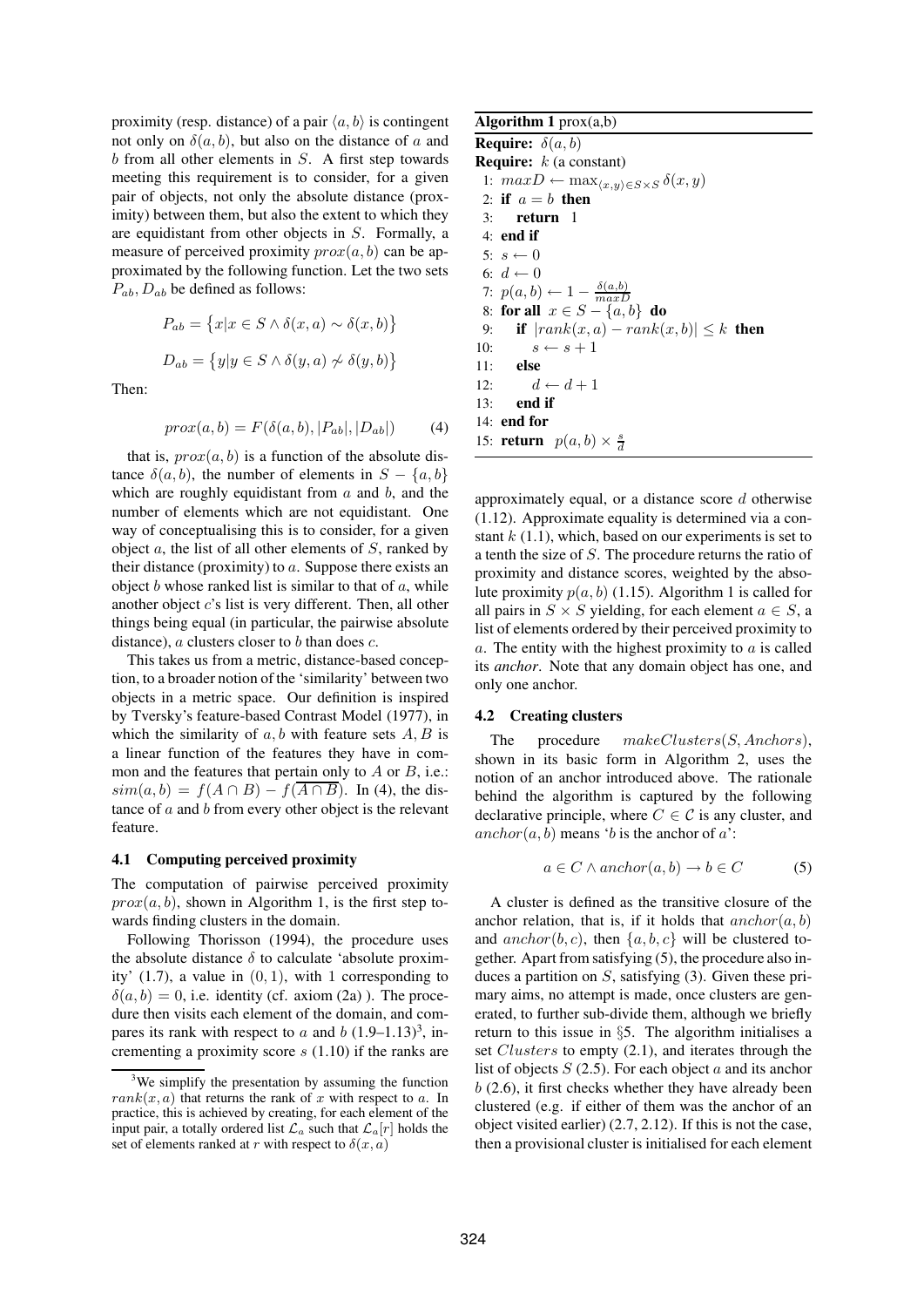proximity (resp. distance) of a pair  $\langle a, b \rangle$  is contingent not only on  $\delta(a, b)$ , but also on the distance of a and  $b$  from all other elements in  $S$ . A first step towards meeting this requirement is to consider, for a given pair of objects, not only the absolute distance (proximity) between them, but also the extent to which they are equidistant from other objects in S. Formally, a measure of perceived proximity  $prox(a, b)$  can be approximated by the following function. Let the two sets  $P_{ab}$ ,  $D_{ab}$  be defined as follows:

$$
P_{ab} = \{x|x \in S \land \delta(x, a) \sim \delta(x, b)\}
$$

$$
D_{ab} = \{y|y \in S \land \delta(y, a) \not\sim \delta(y, b)\}
$$

Then:

$$
prox(a, b) = F(\delta(a, b), |P_{ab}|, |D_{ab}|)
$$
 (4)

that is,  $prox(a, b)$  is a function of the absolute distance  $\delta(a, b)$ , the number of elements in  $S - \{a, b\}$ which are roughly equidistant from  $a$  and  $b$ , and the number of elements which are not equidistant. One way of conceptualising this is to consider, for a given object  $a$ , the list of all other elements of  $S$ , ranked by their distance (proximity) to  $a$ . Suppose there exists an object  $b$  whose ranked list is similar to that of  $a$ , while another object  $c$ 's list is very different. Then, all other things being equal (in particular, the pairwise absolute distance),  $a$  clusters closer to  $b$  than does  $c$ .

This takes us from a metric, distance-based conception, to a broader notion of the 'similarity' between two objects in a metric space. Our definition is inspired by Tversky's feature-based Contrast Model (1977), in which the similarity of  $a, b$  with feature sets  $A, B$  is a linear function of the features they have in common and the features that pertain only to  $A$  or  $B$ , i.e.:  $sim(a, b) = f(A \cap B) - f(\overline{A \cap B})$ . In (4), the distance of  $a$  and  $b$  from every other object is the relevant feature.

#### **4.1 Computing perceived proximity**

The computation of pairwise perceived proximity  $prox(a, b)$ , shown in Algorithm 1, is the first step towards finding clusters in the domain.

Following Thorisson (1994), the procedure uses the absolute distance  $\delta$  to calculate 'absolute proximity'  $(1.7)$ , a value in  $(0, 1)$ , with 1 corresponding to  $\delta(a, b) = 0$ , i.e. identity (cf. axiom (2a)). The procedure then visits each element of the domain, and compares its rank with respect to a and b  $(1.9-1.13)^3$ , incrementing a proximity score s (1.10) if the ranks are

# **Algorithm 1** prox(a,b)

**Require:**  $\delta(a, b)$ **Require:** k (a constant) 1:  $maxD$  ←  $max_{\langle x,y\rangle \in S \times S} \delta(x,y)$ 2: **if**  $a = b$  **then** 3: **return** 1 4: **end if** 5:  $s \leftarrow 0$ 6:  $d \leftarrow 0$ 7:  $p(a,b) \leftarrow 1 - \frac{\delta(a,b)}{max}$ 8: **for all**  $x \in S - \{a, b\}$  **do** 9: **if**  $|rank(x, a) - rank(x, b)| \leq k$  **then** 10:  $s \leftarrow s + 1$ 11: **else** 12:  $d \leftarrow d + 1$ 13: **end if** 14: **end for** 15: **return**  $p(a, b) \times \frac{s}{d}$ 

approximately equal, or a distance score  $d$  otherwise (1.12). Approximate equality is determined via a constant  $k(1.1)$ , which, based on our experiments is set to a tenth the size of S. The procedure returns the ratio of proximity and distance scores, weighted by the absolute proximity  $p(a, b)$  (1.15). Algorithm 1 is called for all pairs in  $S \times S$  yielding, for each element  $a \in S$ , a list of elements ordered by their perceived proximity to a. The entity with the highest proximity to  $\alpha$  is called its *anchor*. Note that any domain object has one, and only one anchor.

#### **4.2 Creating clusters**

The procedure  $makeClusters(S, Anchors)$ , shown in its basic form in Algorithm 2, uses the notion of an anchor introduced above. The rationale behind the algorithm is captured by the following declarative principle, where  $C \in \mathcal{C}$  is any cluster, and  $\arctan(n, b)$  means 'b is the anchor of a':

$$
a \in C \land anchor(a, b) \to b \in C \tag{5}
$$

A cluster is defined as the transitive closure of the anchor relation, that is, if it holds that  $\arctan c$  anchor  $(a, b)$ and  $\text{anchor}(b, c)$ , then  $\{a, b, c\}$  will be clustered together. Apart from satisfying (5), the procedure also induces a partition on  $S$ , satisfying (3). Given these primary aims, no attempt is made, once clusters are generated, to further sub-divide them, although we briefly return to this issue in §5. The algorithm initialises a set *Clusters* to empty (2.1), and iterates through the list of objects  $S(2.5)$ . For each object a and its anchor  $b(2.6)$ , it first checks whether they have already been clustered (e.g. if either of them was the anchor of an object visited earlier) (2.7, 2.12). If this is not the case, then a provisional cluster is initialised for each element

 $3$ We simplify the presentation by assuming the function  $rank(x, a)$  that returns the rank of x with respect to a. In practice, this is achieved by creating, for each element of the input pair, a totally ordered list  $\mathcal{L}_a$  such that  $\mathcal{L}_a[r]$  holds the set of elements ranked at r with respect to  $\delta(x, a)$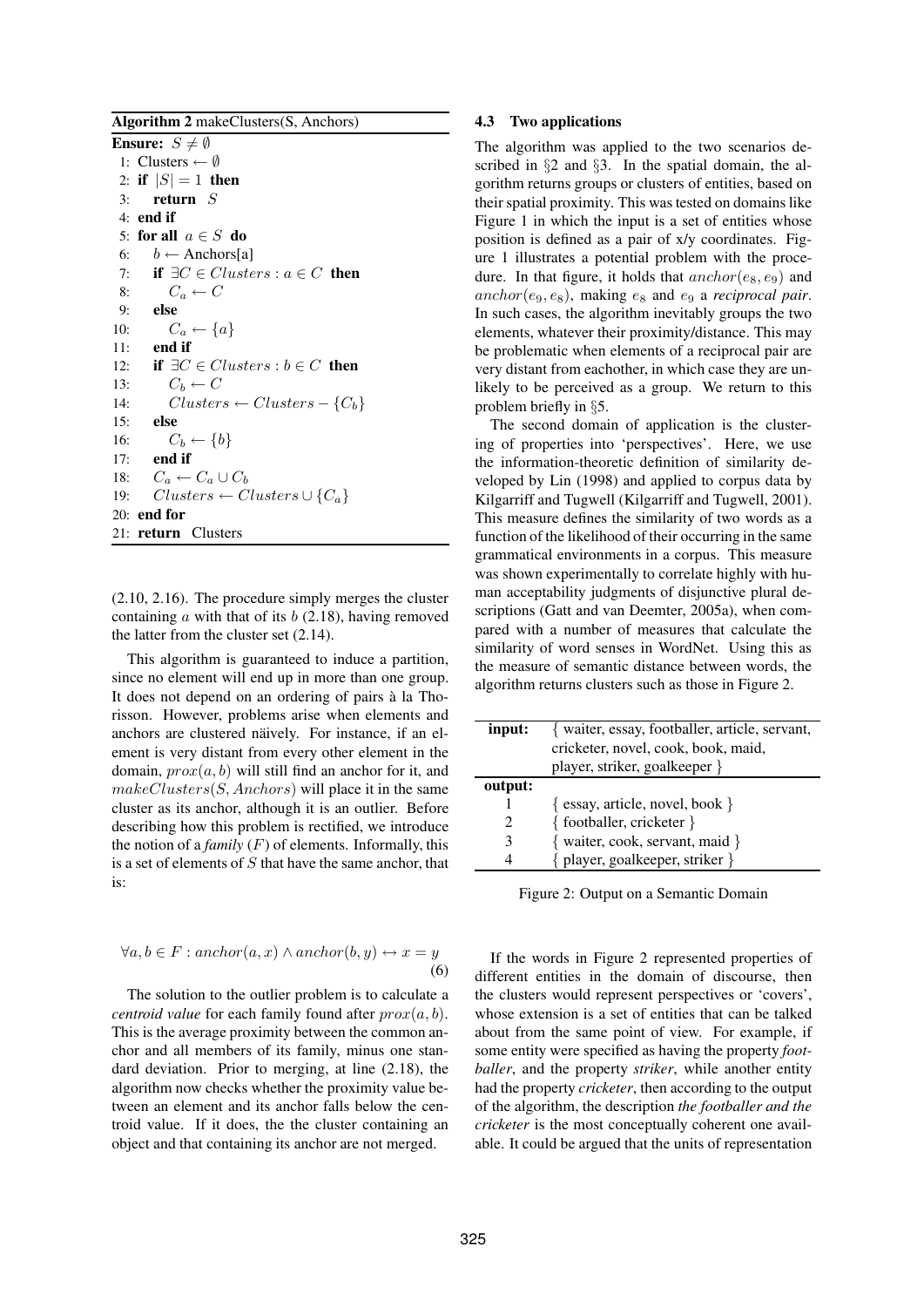**Algorithm 2** makeClusters(S, Anchors) **Ensure:**  $S \neq \emptyset$ 

1: Clusters  $\leftarrow \emptyset$ 2: **if**  $|S| = 1$  **then** 3: **return** S 4: **end if** 5: **for all** a ∈ S **do** 6:  $b \leftarrow$  Anchors[a] 7: **if**  $\exists C \in Clusters : a \in C$  **then** 8:  $C_a \leftarrow C$ 9: **else** 10:  $C_a \leftarrow \{a\}$ 11: **end if** 12: **if**  $\exists C \in Clusters : b \in C$  **then** 13:  $C_b \leftarrow C$ 14:  $Clusters \leftarrow Clusters - \{C_b\}$ 15: **else** 16:  $C_b \leftarrow \{b\}$ 17: **end if** 18:  $C_a \leftarrow C_a \cup C_b$ 19:  $Clusters \leftarrow Clusters \cup \{C_a\}$ 20: **end for** 21: **return** Clusters

(2.10, 2.16). The procedure simply merges the cluster containing  $\alpha$  with that of its  $\delta$  (2.18), having removed the latter from the cluster set (2.14).

This algorithm is guaranteed to induce a partition, since no element will end up in more than one group. It does not depend on an ordering of pairs à la Thorisson. However, problems arise when elements and anchors are clustered näively. For instance, if an element is very distant from every other element in the domain,  $prox(a, b)$  will still find an anchor for it, and  $makeClusters(S, Anchors)$  will place it in the same cluster as its anchor, although it is an outlier. Before describing how this problem is rectified, we introduce the notion of a *family* (F) of elements. Informally, this is a set of elements of  $S$  that have the same anchor, that is:

$$
\forall a, b \in F: anchor(a, x) \land anchor(b, y) \leftrightarrow x = y
$$
\n(6)

The solution to the outlier problem is to calculate a *centroid value* for each family found after  $prox(a, b)$ . This is the average proximity between the common anchor and all members of its family, minus one standard deviation. Prior to merging, at line (2.18), the algorithm now checks whether the proximity value between an element and its anchor falls below the centroid value. If it does, the the cluster containing an object and that containing its anchor are not merged.

### **4.3 Two applications**

The algorithm was applied to the two scenarios described in §2 and §3. In the spatial domain, the algorithm returns groups or clusters of entities, based on their spatial proximity. This was tested on domains like Figure 1 in which the input is a set of entities whose position is defined as a pair of x/y coordinates. Figure 1 illustrates a potential problem with the procedure. In that figure, it holds that  $\arctan(c_8, e_9)$  and  $\archor(e_9, e_8)$ , making  $e_8$  and  $e_9$  a *reciprocal pair*. In such cases, the algorithm inevitably groups the two elements, whatever their proximity/distance. This may be problematic when elements of a reciprocal pair are very distant from eachother, in which case they are unlikely to be perceived as a group. We return to this problem briefly in §5.

The second domain of application is the clustering of properties into 'perspectives'. Here, we use the information-theoretic definition of similarity developed by Lin (1998) and applied to corpus data by Kilgarriff and Tugwell (Kilgarriff and Tugwell, 2001). This measure defines the similarity of two words as a function of the likelihood of their occurring in the same grammatical environments in a corpus. This measure was shown experimentally to correlate highly with human acceptability judgments of disjunctive plural descriptions (Gatt and van Deemter, 2005a), when compared with a number of measures that calculate the similarity of word senses in WordNet. Using this as the measure of semantic distance between words, the algorithm returns clusters such as those in Figure 2.

| input:  | { waiter, essay, footballer, article, servant, |  |  |
|---------|------------------------------------------------|--|--|
|         | cricketer, novel, cook, book, maid,            |  |  |
|         | player, striker, goalkeeper }                  |  |  |
| output: |                                                |  |  |
|         | $\{$ essay, article, novel, book $\}$          |  |  |
|         | { footballer, cricketer }                      |  |  |
|         | { waiter, cook, servant, maid }                |  |  |
|         | { player, goalkeeper, striker }                |  |  |
|         |                                                |  |  |

Figure 2: Output on a Semantic Domain

If the words in Figure 2 represented properties of different entities in the domain of discourse, then the clusters would represent perspectives or 'covers', whose extension is a set of entities that can be talked about from the same point of view. For example, if some entity were specified as having the property *footballer*, and the property *striker*, while another entity had the property *cricketer*, then according to the output of the algorithm, the description *the footballer and the cricketer* is the most conceptually coherent one available. It could be argued that the units of representation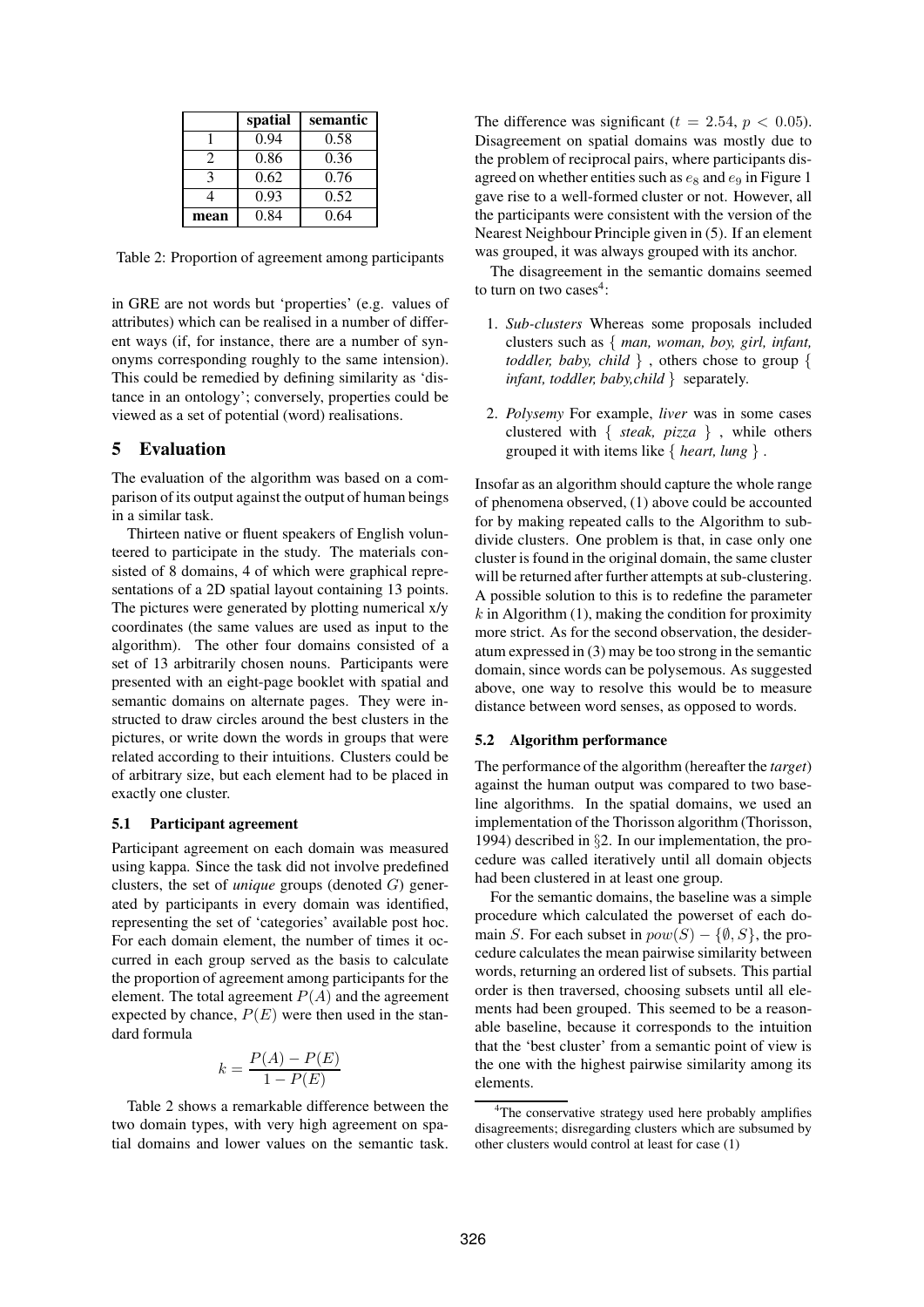|      | spatial | semantic |
|------|---------|----------|
|      | 0.94    | 0.58     |
|      | 0.86    | 0.36     |
|      | 0.62    | 0.76     |
|      | 0.93    | 0.52     |
| mean | 0.84    | 0.64     |

Table 2: Proportion of agreement among participants

in GRE are not words but 'properties' (e.g. values of attributes) which can be realised in a number of different ways (if, for instance, there are a number of synonyms corresponding roughly to the same intension). This could be remedied by defining similarity as 'distance in an ontology'; conversely, properties could be viewed as a set of potential (word) realisations.

# **5 Evaluation**

The evaluation of the algorithm was based on a comparison of its output against the output of human beings in a similar task.

Thirteen native or fluent speakers of English volunteered to participate in the study. The materials consisted of 8 domains, 4 of which were graphical representations of a 2D spatial layout containing 13 points. The pictures were generated by plotting numerical x/y coordinates (the same values are used as input to the algorithm). The other four domains consisted of a set of 13 arbitrarily chosen nouns. Participants were presented with an eight-page booklet with spatial and semantic domains on alternate pages. They were instructed to draw circles around the best clusters in the pictures, or write down the words in groups that were related according to their intuitions. Clusters could be of arbitrary size, but each element had to be placed in exactly one cluster.

### **5.1 Participant agreement**

Participant agreement on each domain was measured using kappa. Since the task did not involve predefined clusters, the set of *unique* groups (denoted G) generated by participants in every domain was identified, representing the set of 'categories' available post hoc. For each domain element, the number of times it occurred in each group served as the basis to calculate the proportion of agreement among participants for the element. The total agreement  $P(A)$  and the agreement expected by chance,  $P(E)$  were then used in the standard formula

$$
k = \frac{P(A) - P(E)}{1 - P(E)}
$$

Table 2 shows a remarkable difference between the two domain types, with very high agreement on spatial domains and lower values on the semantic task.

The difference was significant ( $t = 2.54$ ,  $p < 0.05$ ). Disagreement on spatial domains was mostly due to the problem of reciprocal pairs, where participants disagreed on whether entities such as  $e_8$  and  $e_9$  in Figure 1 gave rise to a well-formed cluster or not. However, all the participants were consistent with the version of the Nearest Neighbour Principle given in (5). If an element was grouped, it was always grouped with its anchor.

The disagreement in the semantic domains seemed to turn on two cases $4$ :

- 1. *Sub-clusters* Whereas some proposals included clusters such as { *man, woman, boy, girl, infant, toddler, baby, child* } , others chose to group { *infant, toddler, baby,child* } separately.
- 2. *Polysemy* For example, *liver* was in some cases clustered with { *steak, pizza* } , while others grouped it with items like { *heart, lung* } .

Insofar as an algorithm should capture the whole range of phenomena observed, (1) above could be accounted for by making repeated calls to the Algorithm to subdivide clusters. One problem is that, in case only one cluster is found in the original domain, the same cluster will be returned after further attempts at sub-clustering. A possible solution to this is to redefine the parameter  $k$  in Algorithm (1), making the condition for proximity more strict. As for the second observation, the desideratum expressed in (3) may be too strong in the semantic domain, since words can be polysemous. As suggested above, one way to resolve this would be to measure distance between word senses, as opposed to words.

## **5.2 Algorithm performance**

The performance of the algorithm (hereafter the *target*) against the human output was compared to two baseline algorithms. In the spatial domains, we used an implementation of the Thorisson algorithm (Thorisson, 1994) described in §2. In our implementation, the procedure was called iteratively until all domain objects had been clustered in at least one group.

For the semantic domains, the baseline was a simple procedure which calculated the powerset of each domain S. For each subset in  $pow(S) - \{\emptyset, S\}$ , the procedure calculates the mean pairwise similarity between words, returning an ordered list of subsets. This partial order is then traversed, choosing subsets until all elements had been grouped. This seemed to be a reasonable baseline, because it corresponds to the intuition that the 'best cluster' from a semantic point of view is the one with the highest pairwise similarity among its elements.

<sup>4</sup>The conservative strategy used here probably amplifies disagreements; disregarding clusters which are subsumed by other clusters would control at least for case (1)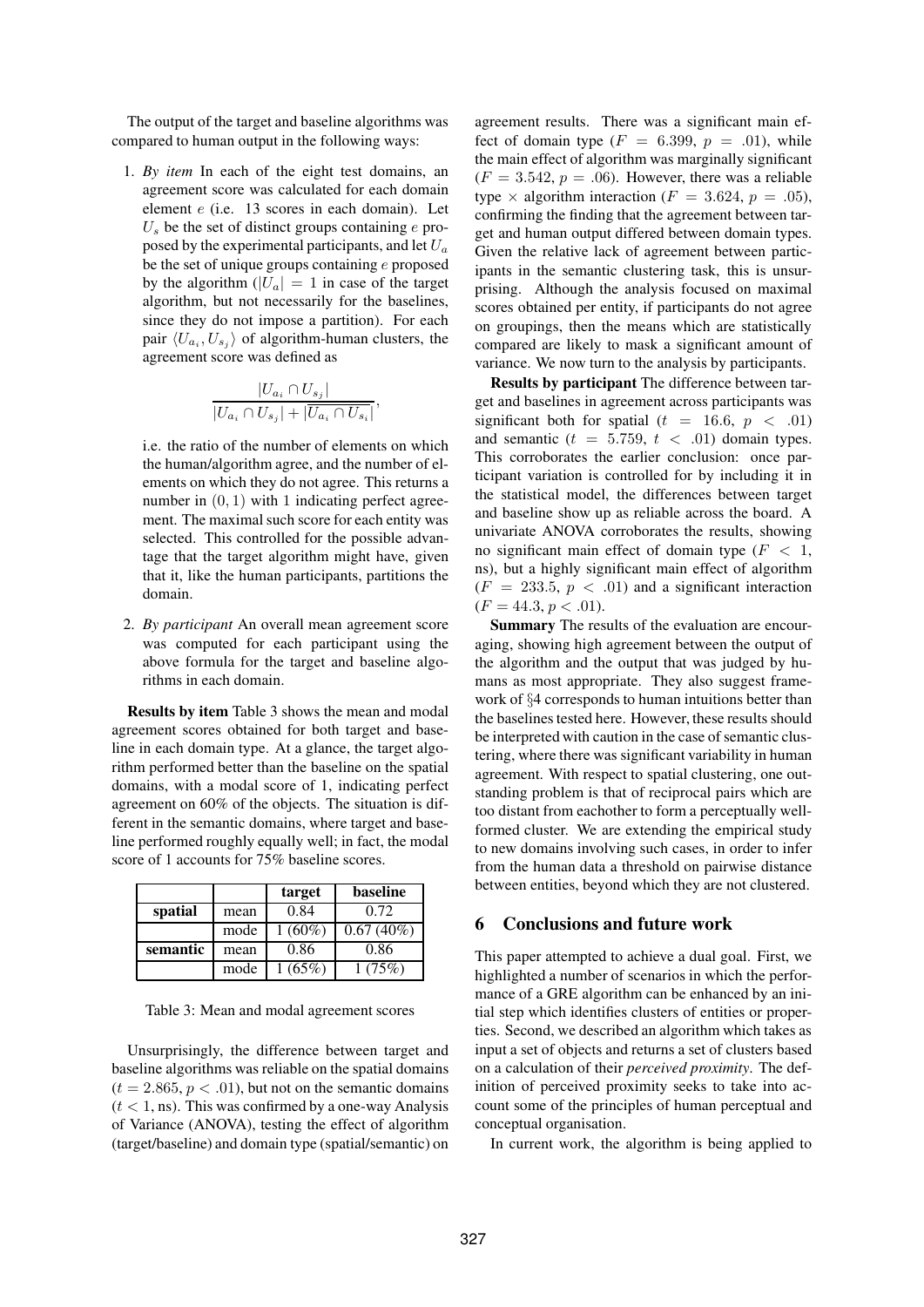The output of the target and baseline algorithms was compared to human output in the following ways:

1. *By item* In each of the eight test domains, an agreement score was calculated for each domain element e (i.e. 13 scores in each domain). Let  $U_s$  be the set of distinct groups containing e proposed by the experimental participants, and let  $U_a$ be the set of unique groups containing e proposed by the algorithm  $(|U_a| = 1$  in case of the target algorithm, but not necessarily for the baselines, since they do not impose a partition). For each pair  $\langle U_{a_i}, U_{s_j} \rangle$  of algorithm-human clusters, the agreement score was defined as

$$
\frac{|U_{a_i} \cap U_{s_j}|}{|U_{a_i} \cap U_{s_j}| + |\overline{U_{a_i} \cap U_{s_i}}|},
$$

i.e. the ratio of the number of elements on which the human/algorithm agree, and the number of elements on which they do not agree. This returns a number in  $(0, 1)$  with 1 indicating perfect agreement. The maximal such score for each entity was selected. This controlled for the possible advantage that the target algorithm might have, given that it, like the human participants, partitions the domain.

2. *By participant* An overall mean agreement score was computed for each participant using the above formula for the target and baseline algorithms in each domain.

**Results by item** Table 3 shows the mean and modal agreement scores obtained for both target and baseline in each domain type. At a glance, the target algorithm performed better than the baseline on the spatial domains, with a modal score of 1, indicating perfect agreement on 60% of the objects. The situation is different in the semantic domains, where target and baseline performed roughly equally well; in fact, the modal score of 1 accounts for 75% baseline scores.

|          |      | target    | <b>baseline</b> |
|----------|------|-----------|-----------------|
| spatial  | mean | 0.84      | 0.72            |
|          | mode | $1(60\%)$ | $0.67(40\%)$    |
| semantic | mean | 0.86      | 0.86            |
|          | mode | 1(65%)    | 1(75%)          |

Table 3: Mean and modal agreement scores

Unsurprisingly, the difference between target and baseline algorithms was reliable on the spatial domains  $(t = 2.865, p < .01)$ , but not on the semantic domains  $(t < 1, \text{ns})$ . This was confirmed by a one-way Analysis of Variance (ANOVA), testing the effect of algorithm (target/baseline) and domain type (spatial/semantic) on agreement results. There was a significant main effect of domain type  $(F = 6.399, p = .01)$ , while the main effect of algorithm was marginally significant  $(F = 3.542, p = .06)$ . However, there was a reliable type  $\times$  algorithm interaction ( $F = 3.624$ ,  $p = .05$ ), confirming the finding that the agreement between target and human output differed between domain types. Given the relative lack of agreement between participants in the semantic clustering task, this is unsurprising. Although the analysis focused on maximal scores obtained per entity, if participants do not agree on groupings, then the means which are statistically compared are likely to mask a significant amount of variance. We now turn to the analysis by participants.

**Results by participant** The difference between target and baselines in agreement across participants was significant both for spatial  $(t = 16.6, p < .01)$ and semantic  $(t = 5.759, t < .01)$  domain types. This corroborates the earlier conclusion: once participant variation is controlled for by including it in the statistical model, the differences between target and baseline show up as reliable across the board. A univariate ANOVA corroborates the results, showing no significant main effect of domain type  $(F < 1,$ ns), but a highly significant main effect of algorithm  $(F = 233.5, p < .01)$  and a significant interaction  $(F = 44.3, p < .01)$ .

**Summary** The results of the evaluation are encouraging, showing high agreement between the output of the algorithm and the output that was judged by humans as most appropriate. They also suggest framework of §4 corresponds to human intuitions better than the baselines tested here. However, these results should be interpreted with caution in the case of semantic clustering, where there was significant variability in human agreement. With respect to spatial clustering, one outstanding problem is that of reciprocal pairs which are too distant from eachother to form a perceptually wellformed cluster. We are extending the empirical study to new domains involving such cases, in order to infer from the human data a threshold on pairwise distance between entities, beyond which they are not clustered.

# **6 Conclusions and future work**

This paper attempted to achieve a dual goal. First, we highlighted a number of scenarios in which the performance of a GRE algorithm can be enhanced by an initial step which identifies clusters of entities or properties. Second, we described an algorithm which takes as input a set of objects and returns a set of clusters based on a calculation of their *perceived proximity*. The definition of perceived proximity seeks to take into account some of the principles of human perceptual and conceptual organisation.

In current work, the algorithm is being applied to